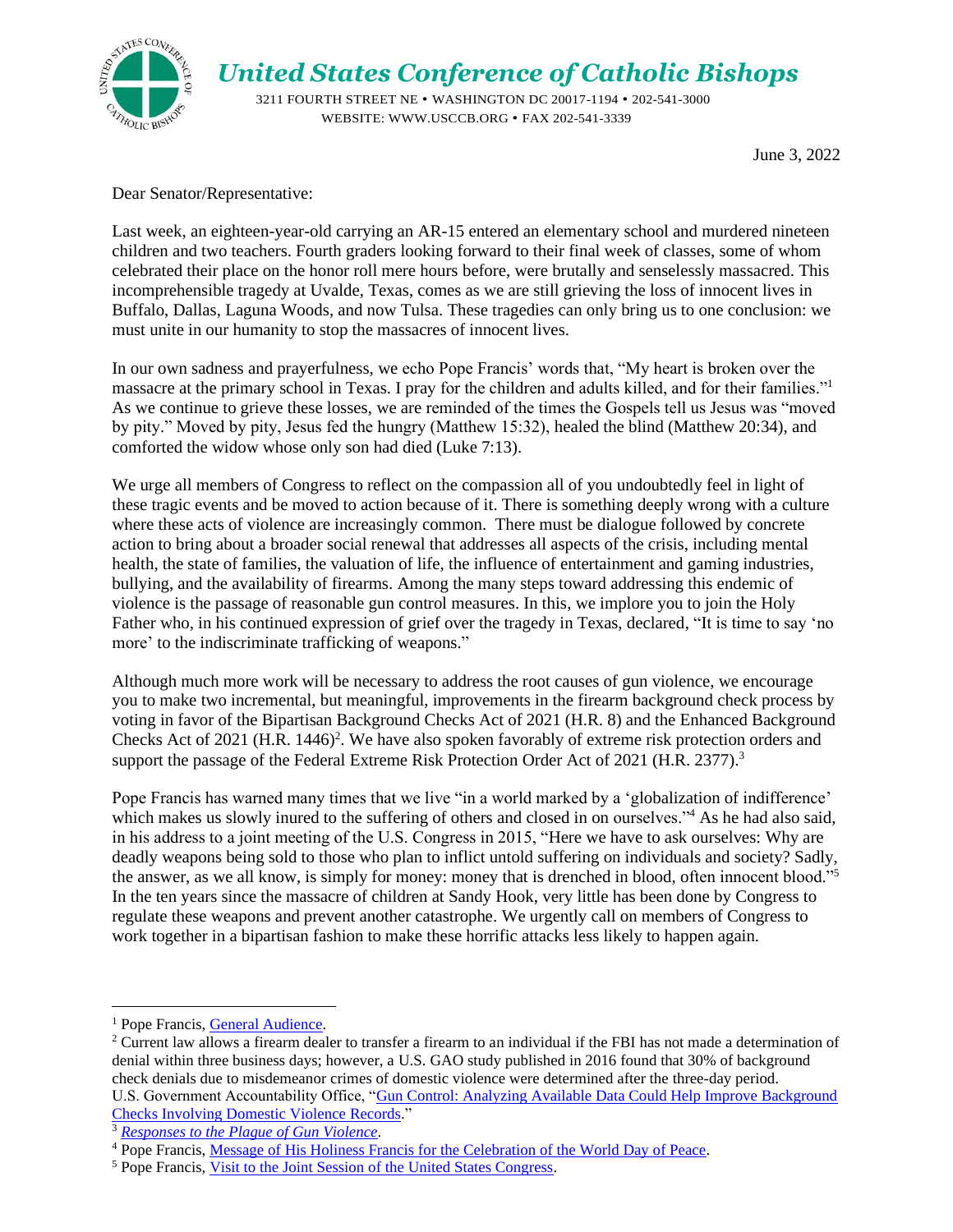

## *United States Conference of Catholic Bishops*

 3211 FOURTH STREET NE • WASHINGTON DC 20017-1194 • 202-541-3000 WEBSITE: WWW.USCCB.ORG • FAX 202-541-3339

June 3, 2022

Dear Senator/Representative:

Last week, an eighteen-year-old carrying an AR-15 entered an elementary school and murdered nineteen children and two teachers. Fourth graders looking forward to their final week of classes, some of whom celebrated their place on the honor roll mere hours before, were brutally and senselessly massacred. This incomprehensible tragedy at Uvalde, Texas, comes as we are still grieving the loss of innocent lives in Buffalo, Dallas, Laguna Woods, and now Tulsa. These tragedies can only bring us to one conclusion: we must unite in our humanity to stop the massacres of innocent lives.

In our own sadness and prayerfulness, we echo Pope Francis' words that, "My heart is broken over the massacre at the primary school in Texas. I pray for the children and adults killed, and for their families."<sup>1</sup> As we continue to grieve these losses, we are reminded of the times the Gospels tell us Jesus was "moved by pity." Moved by pity, Jesus fed the hungry (Matthew 15:32), healed the blind (Matthew 20:34), and comforted the widow whose only son had died (Luke 7:13).

We urge all members of Congress to reflect on the compassion all of you undoubtedly feel in light of these tragic events and be moved to action because of it. There is something deeply wrong with a culture where these acts of violence are increasingly common. There must be dialogue followed by concrete action to bring about a broader social renewal that addresses all aspects of the crisis, including mental health, the state of families, the valuation of life, the influence of entertainment and gaming industries, bullying, and the availability of firearms. Among the many steps toward addressing this endemic of violence is the passage of reasonable gun control measures. In this, we implore you to join the Holy Father who, in his continued expression of grief over the tragedy in Texas, declared, "It is time to say 'no more' to the indiscriminate trafficking of weapons."

Although much more work will be necessary to address the root causes of gun violence, we encourage you to make two incremental, but meaningful, improvements in the firearm background check process by voting in favor of the Bipartisan Background Checks Act of 2021 (H.R. 8) and the Enhanced Background Checks Act of 2021 (H.R. 1446)<sup>2</sup>. We have also spoken favorably of extreme risk protection orders and support the passage of the Federal Extreme Risk Protection Order Act of 2021 (H.R. 2377).<sup>3</sup>

Pope Francis has warned many times that we live "in a world marked by a 'globalization of indifference' which makes us slowly inured to the suffering of others and closed in on ourselves."<sup>4</sup> As he had also said, in his address to a joint meeting of the U.S. Congress in 2015, "Here we have to ask ourselves: Why are deadly weapons being sold to those who plan to inflict untold suffering on individuals and society? Sadly, the answer, as we all know, is simply for money: money that is drenched in blood, often innocent blood."<sup>5</sup> In the ten years since the massacre of children at Sandy Hook, very little has been done by Congress to regulate these weapons and prevent another catastrophe. We urgently call on members of Congress to work together in a bipartisan fashion to make these horrific attacks less likely to happen again.

<sup>&</sup>lt;sup>1</sup> Pope Francis, General Audience.

<sup>&</sup>lt;sup>2</sup> Current law allows a firearm dealer to transfer a firearm to an individual if the FBI has not made a determination of denial within three business days; however, a U.S. GAO study published in 2016 found that 30% of background check denials due to misdemeanor crimes of domestic violence were determined after the three-day period. U.S. Government Accountability Office, "Gun Control: Analyzing Available Data Could Help Improve Background Checks Involving Domestic Violence Records."

<sup>3</sup> *Responses to the Plague of Gun Violence.*

<sup>4</sup> Pope Francis, Message of His Holiness Francis for the Celebration of the World Day of Peace.

<sup>5</sup> Pope Francis, Visit to the Joint Session of the United States Congress.